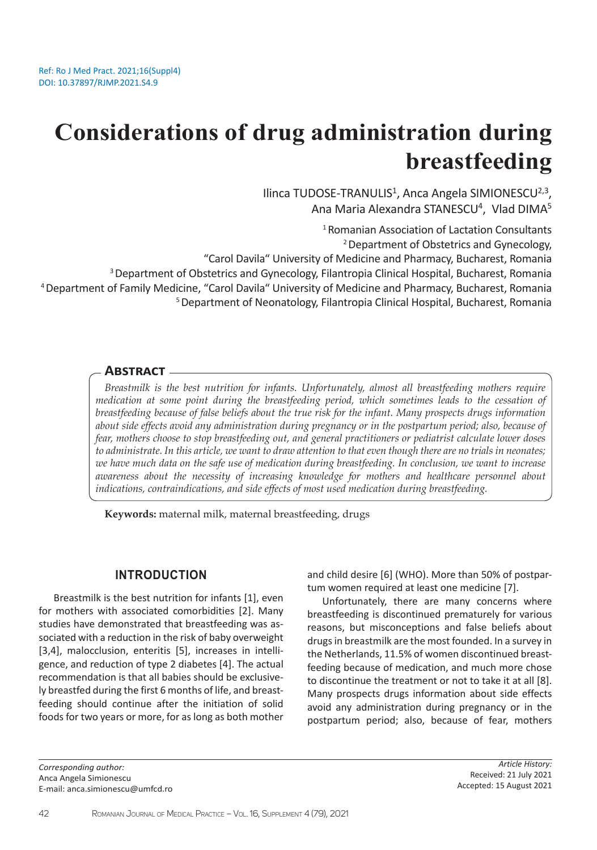# **Considerations of drug administration during breastfeeding**

Ilinca TUDOSE-TRANULIS<sup>1</sup>, Anca Angela SIMIONESCU<sup>2,3</sup>, Ana Maria Alexandra STANESCU<sup>4</sup>, Vlad DIMA<sup>5</sup>

1 Romanian Association of Lactation Consultants

2 Department of Obstetrics and Gynecology,

"Carol Davila" University of Medicine and Pharmacy, Bucharest, Romania

3 Department of Obstetrics and Gynecology, Filantropia Clinical Hospital, Bucharest, Romania

4 Department of Family Medicine, "Carol Davila" University of Medicine and Pharmacy, Bucharest, Romania

5 Department of Neonatology, Filantropia Clinical Hospital, Bucharest, Romania

#### **Abstract**

*Breastmilk is the best nutrition for infants. Unfortunately, almost all breastfeeding mothers require medication at some point during the breastfeeding period, which sometimes leads to the cessation of breastfeeding because of false beliefs about the true risk for the infant. Many prospects drugs information about side effects avoid any administration during pregnancy or in the postpartum period; also, because of fear, mothers choose to stop breastfeeding out, and general practitioners or pediatrist calculate lower doses to administrate. In this article, we want to draw attention to that even though there are no trials in neonates; we have much data on the safe use of medication during breastfeeding. In conclusion, we want to increase awareness about the necessity of increasing knowledge for mothers and healthcare personnel about indications, contraindications, and side effects of most used medication during breastfeeding.*

**Keywords:** maternal milk, maternal breastfeeding, drugs

#### **INTRODUCTION**

Breastmilk is the best nutrition for infants [1], even for mothers with associated comorbidities [2]. Many studies have demonstrated that breastfeeding was associated with a reduction in the risk of baby overweight [3,4], malocclusion, enteritis [5], increases in intelligence, and reduction of type 2 diabetes [4]. The actual recommendation is that all babies should be exclusively breastfed during the first 6 months of life, and breastfeeding should continue after the initiation of solid foods for two years or more, for as long as both mother and child desire [6] (WHO). More than 50% of postpartum women required at least one medicine [7].

Unfortunately, there are many concerns where breastfeeding is discontinued prematurely for various reasons, but misconceptions and false beliefs about drugs in breastmilk are the most founded. In a survey in the Netherlands, 11.5% of women discontinued breastfeeding because of medication, and much more chose to discontinue the treatment or not to take it at all [8]. Many prospects drugs information about side effects avoid any administration during pregnancy or in the postpartum period; also, because of fear, mothers

*Corresponding author:*  Anca Angela Simionescu E-mail: anca.simionescu@umfcd.ro

*Article History:* Received: 21 July 2021 Accepted: 15 August 2021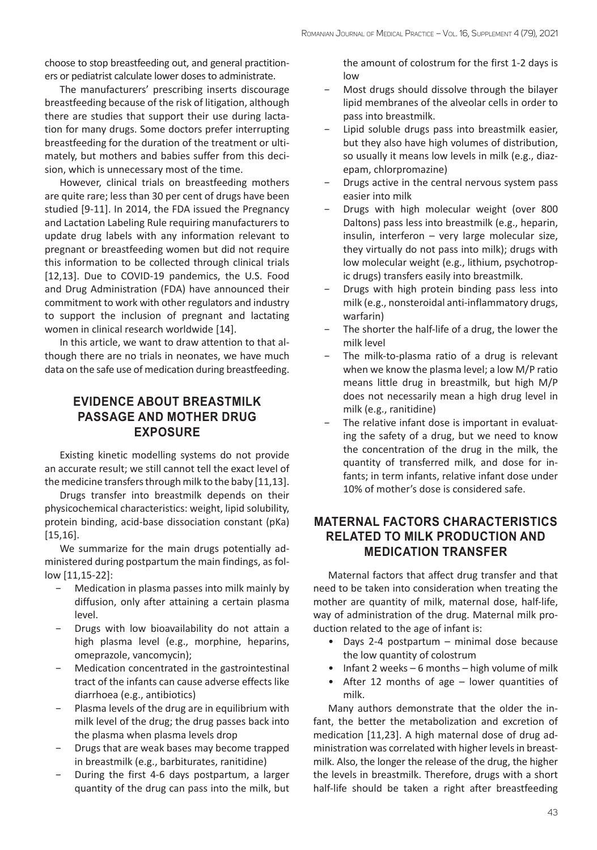choose to stop breastfeeding out, and general practitioners or pediatrist calculate lower doses to administrate.

The manufacturers' prescribing inserts discourage breastfeeding because of the risk of litigation, although there are studies that support their use during lactation for many drugs. Some doctors prefer interrupting breastfeeding for the duration of the treatment or ultimately, but mothers and babies suffer from this decision, which is unnecessary most of the time.

However, clinical trials on breastfeeding mothers are quite rare; less than 30 per cent of drugs have been studied [9-11]. In 2014, the FDA issued the Pregnancy and Lactation Labeling Rule requiring manufacturers to update drug labels with any information relevant to pregnant or breastfeeding women but did not require this information to be collected through clinical trials [12,13]. Due to COVID-19 pandemics, the U.S. Food and Drug Administration (FDA) have announced their commitment to work with other regulators and industry to support the inclusion of pregnant and lactating women in clinical research worldwide [14].

In this article, we want to draw attention to that although there are no trials in neonates, we have much data on the safe use of medication during breastfeeding.

## **EVIDENCE ABOUT BREASTMILK PASSAGE AND MOTHER DRUG EXPOSURE**

Existing kinetic modelling systems do not provide an accurate result; we still cannot tell the exact level of the medicine transfers through milk to the baby [11,13].

Drugs transfer into breastmilk depends on their physicochemical characteristics: weight, lipid solubility, protein binding, acid-base dissociation constant (pKa) [15,16].

We summarize for the main drugs potentially administered during postpartum the main findings, as follow [11,15-22]:

- − Medication in plasma passes into milk mainly by diffusion, only after attaining a certain plasma level.
- Drugs with low bioavailability do not attain a high plasma level (e.g., morphine, heparins, omeprazole, vancomycin);
- − Medication concentrated in the gastrointestinal tract of the infants can cause adverse effects like diarrhoea (e.g., antibiotics)
- Plasma levels of the drug are in equilibrium with milk level of the drug; the drug passes back into the plasma when plasma levels drop
- − Drugs that are weak bases may become trapped in breastmilk (e.g., barbiturates, ranitidine)
- During the first 4-6 days postpartum, a larger quantity of the drug can pass into the milk, but

the amount of colostrum for the first 1-2 days is low

- − Most drugs should dissolve through the bilayer lipid membranes of the alveolar cells in order to pass into breastmilk.
- Lipid soluble drugs pass into breastmilk easier, but they also have high volumes of distribution, so usually it means low levels in milk (e.g., diazepam, chlorpromazine)
- Drugs active in the central nervous system pass easier into milk
- − Drugs with high molecular weight (over 800 Daltons) pass less into breastmilk (e.g., heparin, insulin, interferon – very large molecular size, they virtually do not pass into milk); drugs with low molecular weight (e.g., lithium, psychotropic drugs) transfers easily into breastmilk.
- Drugs with high protein binding pass less into milk (e.g., nonsteroidal anti-inflammatory drugs, warfarin)
- The shorter the half-life of a drug, the lower the milk level
- The milk-to-plasma ratio of a drug is relevant when we know the plasma level; a low M/P ratio means little drug in breastmilk, but high M/P does not necessarily mean a high drug level in milk (e.g., ranitidine)
- The relative infant dose is important in evaluating the safety of a drug, but we need to know the concentration of the drug in the milk, the quantity of transferred milk, and dose for infants; in term infants, relative infant dose under 10% of mother's dose is considered safe.

## **MATERNAL FACTORS CHARACTERISTICS RELATED TO MILK PRODUCTION AND MEDICATION TRANSFER**

Maternal factors that affect drug transfer and that need to be taken into consideration when treating the mother are quantity of milk, maternal dose, half-life, way of administration of the drug. Maternal milk production related to the age of infant is:

- Days 2-4 postpartum minimal dose because the low quantity of colostrum
- Infant 2 weeks 6 months high volume of milk
- After 12 months of age lower quantities of milk.

Many authors demonstrate that the older the infant, the better the metabolization and excretion of medication [11,23]. A high maternal dose of drug administration was correlated with higher levels in breastmilk. Also, the longer the release of the drug, the higher the levels in breastmilk. Therefore, drugs with a short half-life should be taken a right after breastfeeding